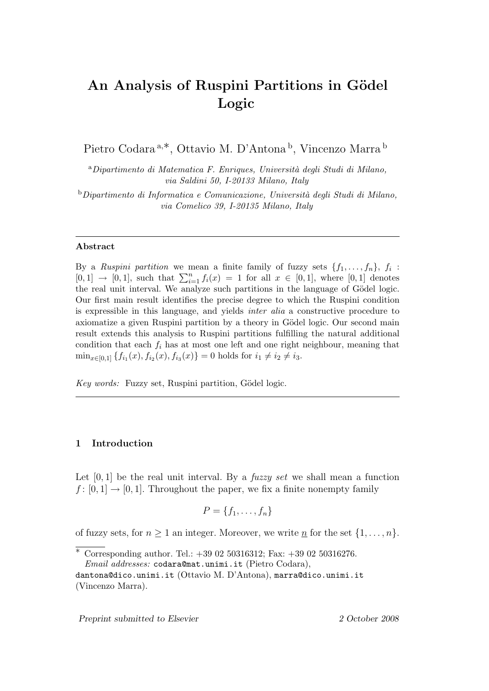# An Analysis of Ruspini Partitions in Gödel **Logic**

Pietro Codara<sup>a,\*</sup>, Ottavio M. D'Antona<sup>b</sup>, Vincenzo Marra<sup>b</sup>

<sup>a</sup>*Dipartimento di Matematica F. Enriques, Universit`a degli Studi di Milano, via Saldini 50, I-20133 Milano, Italy*

<sup>b</sup>*Dipartimento di Informatica e Comunicazione, Universit`a degli Studi di Milano, via Comelico 39, I-20135 Milano, Italy*

## **Abstract**

By a *Ruspini partition* we mean a finite family of fuzzy sets  $\{f_1, \ldots, f_n\}$ ,  $f_i$ : [0, 1] → [0, 1], such that  $\sum_{i=1}^{n} f_i(x) = 1$  for all  $x \in [0,1]$ , where [0, 1] denotes the real unit interval. We analyze such partitions in the language of Gödel logic. Our first main result identifies the precise degree to which the Ruspini condition is expressible in this language, and yields *inter alia* a constructive procedure to axiomatize a given Ruspini partition by a theory in Gödel logic. Our second main result extends this analysis to Ruspini partitions fulfilling the natural additional condition that each  $f_i$  has at most one left and one right neighbour, meaning that  $\min_{x \in [0,1]} \{ f_{i_1}(x), f_{i_2}(x), f_{i_3}(x) \} = 0$  holds for  $i_1 \neq i_2 \neq i_3$ .

*Key words:* Fuzzy set, Ruspini partition, Gödel logic.

## **1 Introduction**

Let [0*,* 1] be the real unit interval. By a *fuzzy set* we shall mean a function  $f: [0, 1] \rightarrow [0, 1]$ . Throughout the paper, we fix a finite nonempty family

$$
P = \{f_1, \ldots, f_n\}
$$

of fuzzy sets, for  $n \geq 1$  an integer. Moreover, we write <u>n</u> for the set  $\{1, \ldots, n\}$ .

*Preprint submitted to Elsevier 2 October 2008*

*<sup>∗</sup>* Corresponding author. Tel.: +39 02 50316312; Fax: +39 02 50316276. *Email addresses:* codara@mat.unimi.it (Pietro Codara),

dantona@dico.unimi.it (Ottavio M. D'Antona), marra@dico.unimi.it (Vincenzo Marra).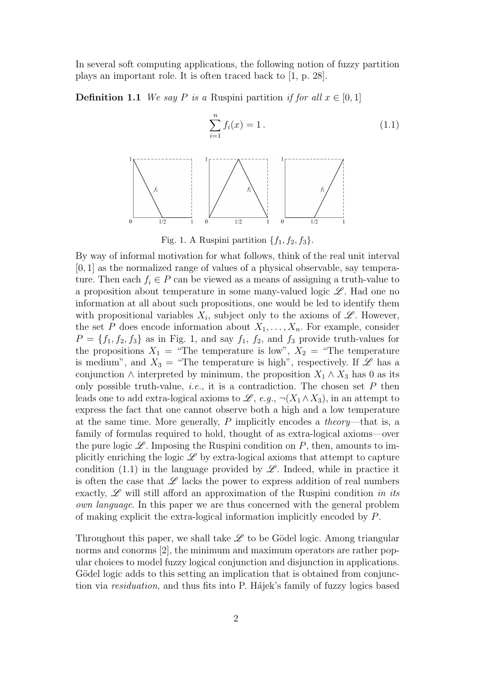In several soft computing applications, the following notion of fuzzy partition plays an important role. It is often traced back to [1, p. 28].

**Definition 1.1** *We say P is a* Ruspini partition *if for all*  $x \in [0, 1]$ 





By way of informal motivation for what follows, think of the real unit interval [0*,* 1] as the normalized range of values of a physical observable, say temperature. Then each  $f_i \in P$  can be viewed as a means of assigning a truth-value to a proposition about temperature in some many-valued logic *L* . Had one no information at all about such propositions, one would be led to identify them with propositional variables  $X_i$ , subject only to the axioms of  $\mathscr{L}$ . However, the set *P* does encode information about  $X_1, \ldots, X_n$ . For example, consider  $P = \{f_1, f_2, f_3\}$  as in Fig. 1, and say  $f_1, f_2$ , and  $f_3$  provide truth-values for the propositions  $X_1$  = "The temperature is low",  $X_2$  = "The temperature is medium", and  $X_3 =$  "The temperature is high", respectively. If  $\mathscr L$  has a conjunction  $\land$  interpreted by minimum, the proposition  $X_1 \land X_3$  has 0 as its only possible truth-value, *i.e.*, it is a contradiction. The chosen set *P* then leads one to add extra-logical axioms to  $\mathscr{L}$ , *e.g.*,  $\neg(X_1 \wedge X_3)$ , in an attempt to express the fact that one cannot observe both a high and a low temperature at the same time. More generally, *P* implicitly encodes a *theory*—that is, a family of formulas required to hold, thought of as extra-logical axioms—over the pure logic  $\mathscr{L}$ . Imposing the Ruspini condition on  $P$ , then, amounts to implicitly enriching the logic  $\mathscr L$  by extra-logical axioms that attempt to capture condition (1.1) in the language provided by  $\mathscr{L}$ . Indeed, while in practice it is often the case that  $\mathscr L$  lacks the power to express addition of real numbers exactly, *L* will still afford an approximation of the Ruspini condition *in its own language*. In this paper we are thus concerned with the general problem of making explicit the extra-logical information implicitly encoded by *P*.

Throughout this paper, we shall take  $\mathscr L$  to be Gödel logic. Among triangular norms and conorms [2], the minimum and maximum operators are rather popular choices to model fuzzy logical conjunction and disjunction in applications. Gödel logic adds to this setting an implication that is obtained from conjunction via *residuation*, and thus fits into P. Hájek's family of fuzzy logics based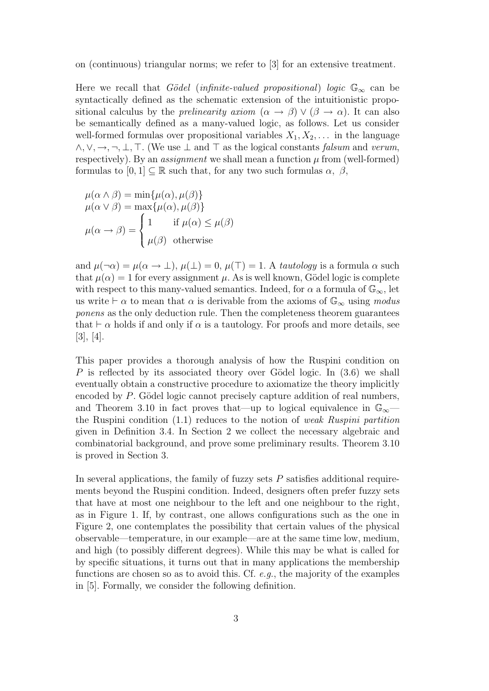#### on (continuous) triangular norms; we refer to [3] for an extensive treatment.

Here we recall that *Gödel* (*infinite-valued propositional*) *logic*  $\mathbb{G}_{\infty}$  can be syntactically defined as the schematic extension of the intuitionistic propositional calculus by the *prelinearity axiom*  $(\alpha \rightarrow \beta) \vee (\beta \rightarrow \alpha)$ . It can also be semantically defined as a many-valued logic, as follows. Let us consider well-formed formulas over propositional variables  $X_1, X_2, \ldots$  in the language *∧,∨,→,¬, ⊥, >*. (We use *⊥* and *>* as the logical constants *falsum* and *verum*, respectively). By an *assignment* we shall mean a function  $\mu$  from (well-formed) formulas to  $[0, 1] \subset \mathbb{R}$  such that, for any two such formulas  $\alpha$ ,  $\beta$ ,

$$
\mu(\alpha \wedge \beta) = \min{\mu(\alpha), \mu(\beta)}
$$
  
\n
$$
\mu(\alpha \vee \beta) = \max{\mu(\alpha), \mu(\beta)}
$$
  
\n
$$
\mu(\alpha \rightarrow \beta) = \begin{cases} 1 & \text{if } \mu(\alpha) \le \mu(\beta) \\ \mu(\beta) & \text{otherwise} \end{cases}
$$

and  $\mu(\neg \alpha) = \mu(\alpha \to \bot), \mu(\bot) = 0, \mu(\top) = 1$ . A *tautology* is a formula  $\alpha$  such that  $\mu(\alpha) = 1$  for every assignment  $\mu$ . As is well known, Gödel logic is complete with respect to this many-valued semantics. Indeed, for  $\alpha$  a formula of  $\mathbb{G}_{\infty}$ , let us write  $\vdash \alpha$  to mean that  $\alpha$  is derivable from the axioms of  $\mathbb{G}_{\infty}$  using *modus ponens* as the only deduction rule. Then the completeness theorem guarantees that  $\vdash \alpha$  holds if and only if  $\alpha$  is a tautology. For proofs and more details, see [3], [4].

This paper provides a thorough analysis of how the Ruspini condition on *P* is reflected by its associated theory over Gödel logic. In (3.6) we shall eventually obtain a constructive procedure to axiomatize the theory implicitly encoded by P. Gödel logic cannot precisely capture addition of real numbers, and Theorem 3.10 in fact proves that—up to logical equivalence in G*∞* the Ruspini condition (1.1) reduces to the notion of *weak Ruspini partition* given in Definition 3.4. In Section 2 we collect the necessary algebraic and combinatorial background, and prove some preliminary results. Theorem 3.10 is proved in Section 3.

In several applications, the family of fuzzy sets *P* satisfies additional requirements beyond the Ruspini condition. Indeed, designers often prefer fuzzy sets that have at most one neighbour to the left and one neighbour to the right, as in Figure 1. If, by contrast, one allows configurations such as the one in Figure 2, one contemplates the possibility that certain values of the physical observable—temperature, in our example—are at the same time low, medium, and high (to possibly different degrees). While this may be what is called for by specific situations, it turns out that in many applications the membership functions are chosen so as to avoid this. Cf. *e.g.*, the majority of the examples in [5]. Formally, we consider the following definition.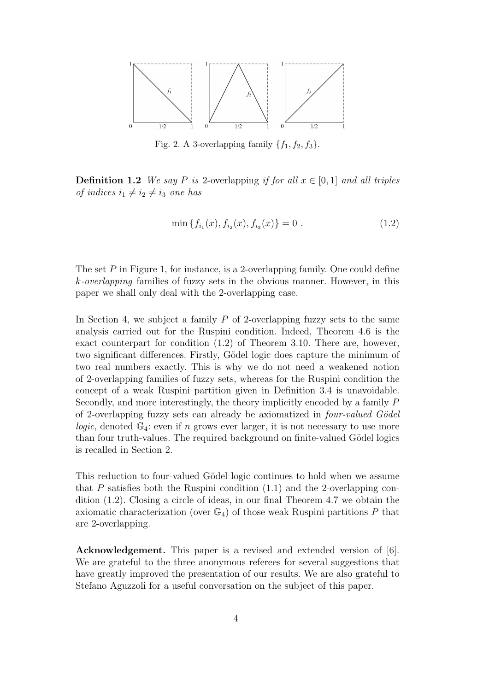

Fig. 2. A 3-overlapping family  $\{f_1, f_2, f_3\}.$ 

**Definition 1.2** *We say P is* 2-overlapping *if for all*  $x \in [0, 1]$  *and all triples of indices*  $i_1 \neq i_2 \neq i_3$  *one has* 

$$
\min \{f_{i_1}(x), f_{i_2}(x), f_{i_3}(x)\} = 0 . \tag{1.2}
$$

The set *P* in Figure 1, for instance, is a 2-overlapping family. One could define *k-overlapping* families of fuzzy sets in the obvious manner. However, in this paper we shall only deal with the 2-overlapping case.

In Section 4, we subject a family *P* of 2-overlapping fuzzy sets to the same analysis carried out for the Ruspini condition. Indeed, Theorem 4.6 is the exact counterpart for condition (1.2) of Theorem 3.10. There are, however, two significant differences. Firstly, Gödel logic does capture the minimum of two real numbers exactly. This is why we do not need a weakened notion of 2-overlapping families of fuzzy sets, whereas for the Ruspini condition the concept of a weak Ruspini partition given in Definition 3.4 is unavoidable. Secondly, and more interestingly, the theory implicitly encoded by a family *P* of 2-overlapping fuzzy sets can already be axiomatized in *four-valued G¨odel logic*, denoted  $\mathbb{G}_4$ : even if *n* grows ever larger, it is not necessary to use more than four truth-values. The required background on finite-valued Gödel logics is recalled in Section 2.

This reduction to four-valued Gödel logic continues to hold when we assume that *P* satisfies both the Ruspini condition (1.1) and the 2-overlapping condition (1.2). Closing a circle of ideas, in our final Theorem 4.7 we obtain the axiomatic characterization (over  $\mathbb{G}_4$ ) of those weak Ruspini partitions P that are 2-overlapping.

**Acknowledgement.** This paper is a revised and extended version of [6]. We are grateful to the three anonymous referees for several suggestions that have greatly improved the presentation of our results. We are also grateful to Stefano Aguzzoli for a useful conversation on the subject of this paper.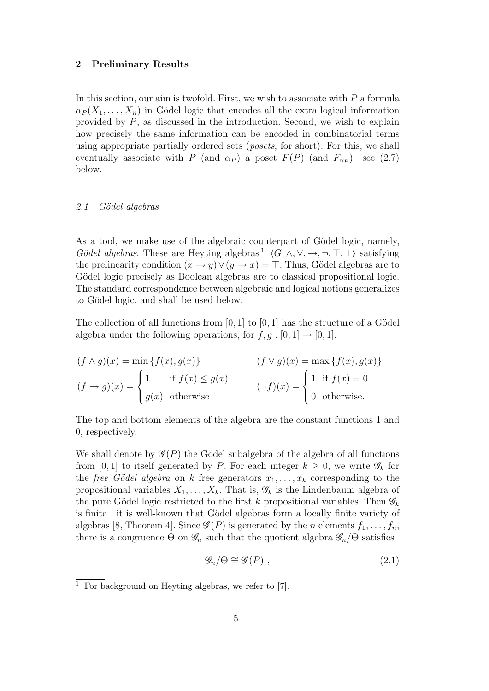## **2 Preliminary Results**

In this section, our aim is twofold. First, we wish to associate with *P* a formula  $\alpha_P(X_1,\ldots,X_n)$  in Gödel logic that encodes all the extra-logical information provided by *P*, as discussed in the introduction. Second, we wish to explain how precisely the same information can be encoded in combinatorial terms using appropriate partially ordered sets (*posets*, for short). For this, we shall eventually associate with *P* (and  $\alpha_P$ ) a poset  $F(P)$  (and  $F_{\alpha_P}$ )—see (2.7) below.

## *2.1 G¨odel algebras*

As a tool, we make use of the algebraic counterpart of Gödel logic, namely, *Gödel algebras*. These are Heyting algebras<sup>1</sup>  $\langle G, \wedge, \vee, \rightarrow, \neg, \top, \bot \rangle$  satisfying the prelinearity condition  $(x \to y) \lor (y \to x) = \top$ . Thus, Gödel algebras are to Gödel logic precisely as Boolean algebras are to classical propositional logic. The standard correspondence between algebraic and logical notions generalizes to Gödel logic, and shall be used below.

The collection of all functions from  $[0, 1]$  to  $[0, 1]$  has the structure of a Gödel algebra under the following operations, for  $f, g : [0, 1] \rightarrow [0, 1]$ .

$$
(f \wedge g)(x) = \min \{f(x), g(x)\}
$$
  
\n
$$
(f \vee g)(x) = \max \{f(x), g(x)\}
$$
  
\n
$$
(f \rightarrow g)(x) = \begin{cases} 1 & \text{if } f(x) \le g(x) \\ g(x) & \text{otherwise} \end{cases}
$$
  
\n
$$
(\neg f)(x) = \begin{cases} 1 & \text{if } f(x) = 0 \\ 0 & \text{otherwise.} \end{cases}
$$

The top and bottom elements of the algebra are the constant functions 1 and 0, respectively.

We shall denote by  $\mathscr{G}(P)$  the Gödel subalgebra of the algebra of all functions from [0,1] to itself generated by *P*. For each integer  $k \geq 0$ , we write  $\mathscr{G}_k$  for the *free Gödel algebra* on *k* free generators  $x_1, \ldots, x_k$  corresponding to the propositional variables  $X_1, \ldots, X_k$ . That is,  $\mathscr{G}_k$  is the Lindenbaum algebra of the pure Gödel logic restricted to the first  $k$  propositional variables. Then  $\mathscr{G}_k$ is finite—it is well-known that G¨odel algebras form a locally finite variety of algebras [8, Theorem 4]. Since  $\mathscr{G}(P)$  is generated by the *n* elements  $f_1, \ldots, f_n$ , there is a congruence  $\Theta$  on  $\mathscr{G}_n$  such that the quotient algebra  $\mathscr{G}_n/\Theta$  satisfies

$$
\mathcal{G}_n/\Theta \cong \mathcal{G}(P) \;, \tag{2.1}
$$

<sup>&</sup>lt;sup>1</sup> For background on Heyting algebras, we refer to  $[7]$ .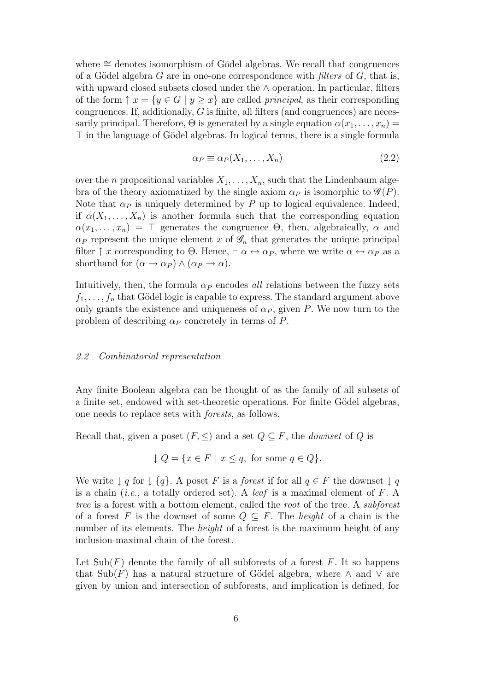where <sup> $\simeq$ </sup> denotes isomorphism of Gödel algebras. We recall that congruences of a Gödel algebra  $G$  are in one-one correspondence with *filters* of  $G$ , that is, with upward closed subsets closed under the *∧* operation. In particular, filters of the form  $\uparrow x = \{y \in G \mid y \geq x\}$  are called *principal*, as their corresponding congruences. If, additionally, *G* is finite, all filters (and congruences) are necessarily principal. Therefore,  $\Theta$  is generated by a single equation  $\alpha(x_1, \ldots, x_n)$  $\top$  in the language of Gödel algebras. In logical terms, there is a single formula

$$
\alpha_P \equiv \alpha_P(X_1, \dots, X_n) \tag{2.2}
$$

over the *n* propositional variables  $X_1, \ldots, X_n$ , such that the Lindenbaum algebra of the theory axiomatized by the single axiom  $\alpha_P$  is isomorphic to  $\mathscr{G}(P)$ . Note that  $\alpha_P$  is uniquely determined by P up to logical equivalence. Indeed, if  $\alpha(X_1, \ldots, X_n)$  is another formula such that the corresponding equation  $\alpha(x_1, \ldots, x_n) = \top$  generates the congruence  $\Theta$ , then, algebraically,  $\alpha$  and  $\alpha$ <sup>*P*</sup> represent the unique element *x* of  $\mathscr{G}_n$  that generates the unique principal filter  $\uparrow$  *x* corresponding to  $\Theta$ . Hence,  $\vdash \alpha \leftrightarrow \alpha_P$ , where we write  $\alpha \leftrightarrow \alpha_P$  as a shorthand for  $(\alpha \rightarrow \alpha_P) \land (\alpha_P \rightarrow \alpha)$ .

Intuitively, then, the formula  $\alpha_P$  encodes *all* relations between the fuzzy sets  $f_1, \ldots, f_n$  that Gödel logic is capable to express. The standard argument above only grants the existence and uniqueness of  $\alpha_P$ , given *P*. We now turn to the problem of describing *α<sup>P</sup>* concretely in terms of *P*.

#### *2.2 Combinatorial representation*

Any finite Boolean algebra can be thought of as the family of all subsets of a finite set, endowed with set-theoretic operations. For finite Gödel algebras, one needs to replace sets with *forests*, as follows.

Recall that, given a poset  $(F, \leq)$  and a set  $Q \subseteq F$ , the *downset* of  $Q$  is

$$
\downarrow Q = \{ x \in F \mid x \le q, \text{ for some } q \in Q \}.
$$

We write  $\downarrow$  *q* for  $\downarrow$  {*q*}. A poset *F* is a *forest* if for all  $q \in F$  the downset  $\downarrow$  *q* is a chain (*i.e.*, a totally ordered set). A *leaf* is a maximal element of *F*. A *tree* is a forest with a bottom element, called the *root* of the tree. A *subforest* of a forest *F* is the downset of some  $Q \subseteq F$ . The *height* of a chain is the number of its elements. The *height* of a forest is the maximum height of any inclusion-maximal chain of the forest.

Let  $\text{Sub}(F)$  denote the family of all subforests of a forest  $F$ . It so happens that  $\text{Sub}(F)$  has a natural structure of Gödel algebra, where  $\wedge$  and  $\vee$  are given by union and intersection of subforests, and implication is defined, for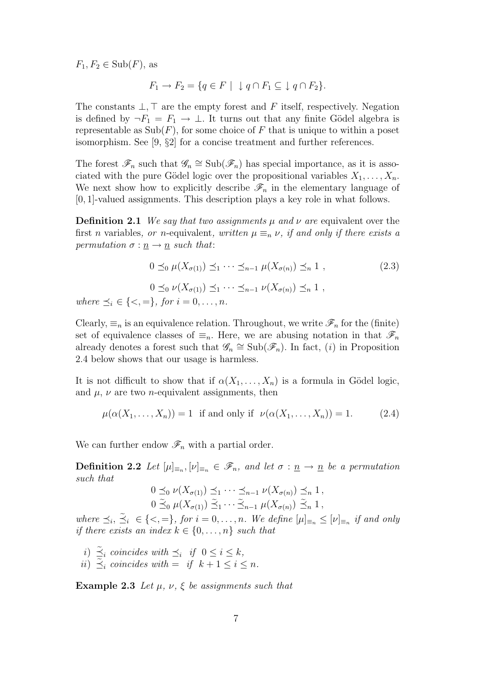$F_1, F_2 \in Sub(F)$ , as

$$
F_1 \to F_2 = \{ q \in F \mid \downarrow q \cap F_1 \subseteq \downarrow q \cap F_2 \}.
$$

The constants  $\bot$ ,  $\top$  are the empty forest and *F* itself, respectively. Negation is defined by  $\neg F_1 = F_1 \rightarrow \bot$ . It turns out that any finite Gödel algebra is representable as  $\text{Sub}(F)$ , for some choice of F that is unique to within a poset isomorphism. See [9, *§*2] for a concise treatment and further references.

The forest  $\mathscr{F}_n$  such that  $\mathscr{G}_n \cong \text{Sub}(\mathscr{F}_n)$  has special importance, as it is associated with the pure Gödel logic over the propositional variables  $X_1, \ldots, X_n$ . We next show how to explicitly describe  $\mathscr{F}_n$  in the elementary language of [0*,* 1]-valued assignments. This description plays a key role in what follows.

**Definition 2.1** *We say that two assignments*  $\mu$  *and*  $\nu$  *are* equivalent over the first *n* variables, *or n*-equivalent, written  $\mu \equiv_n \nu$ , if and only if there exists a *permutation*  $\sigma : \underline{n} \to \underline{n}$  *such that*:

$$
0 \preceq_0 \mu(X_{\sigma(1)}) \preceq_1 \cdots \preceq_{n-1} \mu(X_{\sigma(n)}) \preceq_n 1 ,
$$
  
\n
$$
0 \preceq_0 \nu(X_{\sigma(1)}) \preceq_1 \cdots \preceq_{n-1} \nu(X_{\sigma(n)}) \preceq_n 1 ,
$$
  
\nwhere  $\preceq_i \in \{<,=\},$  for  $i = 0, ..., n$ .

Clearly,  $\equiv_n$  is an equivalence relation. Throughout, we write  $\mathscr{F}_n$  for the (finite) set of equivalence classes of  $\equiv_n$ . Here, we are abusing notation in that  $\mathscr{F}_n$ already denotes a forest such that  $\mathscr{G}_n \cong \text{Sub}(\mathscr{F}_n)$ . In fact, (*i*) in Proposition 2.4 below shows that our usage is harmless.

It is not difficult to show that if  $\alpha(X_1, \ldots, X_n)$  is a formula in Gödel logic, and  $\mu$ ,  $\nu$  are two *n*-equivalent assignments, then

$$
\mu(\alpha(X_1,\ldots,X_n)) = 1 \text{ if and only if } \nu(\alpha(X_1,\ldots,X_n)) = 1. \tag{2.4}
$$

We can further endow  $\mathscr{F}_n$  with a partial order.

**Definition 2.2** *Let*  $[\mu]_{\equiv n}, [\nu]_{\equiv n} \in \mathscr{F}_n$ , and let  $\sigma : \underline{n} \to \underline{n}$  be a permutation *such that*

$$
0 \preceq_0 \nu(X_{\sigma(1)}) \preceq_1 \cdots \preceq_{n-1} \nu(X_{\sigma(n)}) \preceq_n 1,
$$
  

$$
0 \widetilde{\preceq}_0 \mu(X_{\sigma(1)}) \widetilde{\preceq}_1 \cdots \widetilde{\preceq}_{n-1} \mu(X_{\sigma(n)}) \widetilde{\preceq}_n 1,
$$

where  $\preceq_i, \preceq_i \in \{<,=\},$  for  $i=0,\ldots,n$ . We define  $[\mu]_{\equiv_n} \leq [\nu]_{\equiv_n}$  if and only *if there exists an index*  $k \in \{0, \ldots, n\}$  *such that* 

*i*)  $\leq$ <sup>*i*</sup> *coincides with*  $\leq$ <sup>*i*</sup> *if*  $0 \leq i \leq k$ *,*  $i$ *i*)  $\leq_i$  *coincides with* = *if*  $k + 1 \leq i \leq n$ .

**Example 2.3** *Let*  $\mu$ *,*  $\nu$ *,*  $\xi$  *be assignments such that*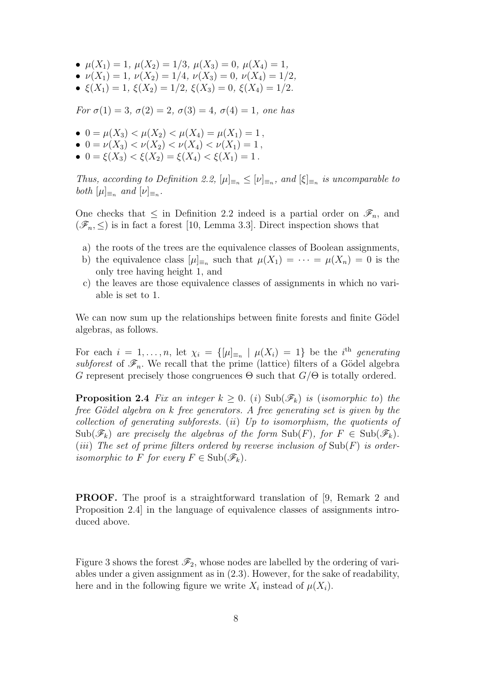- $\mu(X_1) = 1, \ \mu(X_2) = 1/3, \ \mu(X_3) = 0, \ \mu(X_4) = 1,$
- $\nu(X_1) = 1, \ \nu(X_2) = 1/4, \ \nu(X_3) = 0, \ \nu(X_4) = 1/2,$
- $\xi(X_1) = 1$ ,  $\xi(X_2) = 1/2$ ,  $\xi(X_3) = 0$ ,  $\xi(X_4) = 1/2$ .

*For*  $\sigma(1) = 3$ ,  $\sigma(2) = 2$ ,  $\sigma(3) = 4$ ,  $\sigma(4) = 1$ , one has

- $0 = \mu(X_3) < \mu(X_2) < \mu(X_4) = \mu(X_1) = 1$ ,
- $0 = \nu(X_3) < \nu(X_2) < \nu(X_4) < \nu(X_1) = 1$ ,
- $0 = \xi(X_3) < \xi(X_2) = \xi(X_4) < \xi(X_1) = 1$ .

*Thus, according to Definition 2.2,*  $[\mu]_{\equiv n} \leq [\nu]_{\equiv n}$ *, and*  $[\xi]_{\equiv n}$  *is uncomparable to both*  $[\mu]_{\equiv_n}$  *and*  $[\nu]_{\equiv_n}$ *.* 

One checks that  $\leq$  in Definition 2.2 indeed is a partial order on  $\mathscr{F}_n$ , and  $(\mathscr{F}_n, \leq)$  is in fact a forest [10, Lemma 3.3]. Direct inspection shows that

- a) the roots of the trees are the equivalence classes of Boolean assignments,
- b) the equivalence class  $[\mu]_{\equiv n}$  such that  $\mu(X_1) = \cdots = \mu(X_n) = 0$  is the only tree having height 1, and
- c) the leaves are those equivalence classes of assignments in which no variable is set to 1.

We can now sum up the relationships between finite forests and finite Gödel algebras, as follows.

For each  $i = 1, \ldots, n$ , let  $\chi_i = \{ [\mu]_{\equiv_n} \mid \mu(X_i) = 1 \}$  be the *i*<sup>th</sup> generating *subforest* of  $\mathcal{F}_n$ . We recall that the prime (lattice) filters of a Gödel algebra *G* represent precisely those congruences  $\Theta$  such that  $G/\Theta$  is totally ordered.

**Proposition 2.4** Fix an integer  $k \geq 0$ . (*i*) Sub( $\mathscr{F}_k$ ) *is* (*isomorphic to*) *the free G¨odel algebra on k free generators. A free generating set is given by the collection of generating subforests.* (*ii*) *Up to isomorphism, the quotients of*  $\text{Sub}(\mathscr{F}_k)$  are precisely the algebras of the form  $\text{Sub}(F)$ , for  $F \in \text{Sub}(\mathscr{F}_k)$ . (*iii*) *The set of prime filters ordered by reverse inclusion of* Sub(*F*) *is orderisomorphic to F for every*  $F \in Sub(\mathcal{F}_k)$ *.* 

**PROOF.** The proof is a straightforward translation of [9, Remark 2 and Proposition 2.4] in the language of equivalence classes of assignments introduced above.

Figure 3 shows the forest  $\mathscr{F}_2$ , whose nodes are labelled by the ordering of variables under a given assignment as in (2.3). However, for the sake of readability, here and in the following figure we write  $X_i$  instead of  $\mu(X_i)$ .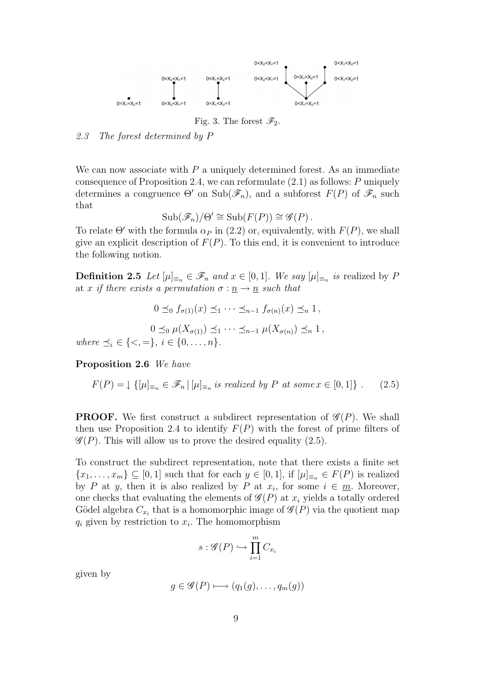

Fig. 3. The forest  $\mathscr{F}_2$ .

*2.3 The forest determined by P*

We can now associate with *P* a uniquely determined forest. As an immediate consequence of Proposition 2.4, we can reformulate (2.1) as follows: *P* uniquely determines a congruence  $\Theta'$  on  $\text{Sub}(\mathscr{F}_n)$ , and a subforest  $F(P)$  of  $\mathscr{F}_n$  such that

$$
\mathrm{Sub}(\mathscr{F}_n)/\Theta' \cong \mathrm{Sub}(F(P)) \cong \mathscr{G}(P).
$$

To relate  $\Theta'$  with the formula  $\alpha_P$  in (2.2) or, equivalently, with  $F(P)$ , we shall give an explicit description of  $F(P)$ . To this end, it is convenient to introduce the following notion.

**Definition 2.5** *Let*  $[\mu]_{\equiv_n} \in \mathscr{F}_n$  *and*  $x \in [0,1]$ *. We say*  $[\mu]_{\equiv_n}$  *is* realized by *P* at *x* if there exists a permutation  $\sigma : \underline{n} \to \underline{n}$  such that

$$
0 \leq_0 f_{\sigma(1)}(x) \leq_1 \cdots \leq_{n-1} f_{\sigma(n)}(x) \leq_n 1,
$$
  

$$
0 \leq_0 \mu(X_{\sigma(1)}) \leq_1 \cdots \leq_{n-1} \mu(X_{\sigma(n)}) \leq_n 1,
$$
  
where  $\leq_i \in \{<,=\}, i \in \{0,\ldots,n\}.$ 

**Proposition 2.6** *We have*

$$
F(P) = \downarrow \{ [\mu]_{\equiv_n} \in \mathscr{F}_n \mid [\mu]_{\equiv_n} \text{ is realized by } P \text{ at some } x \in [0, 1] \} . \tag{2.5}
$$

**PROOF.** We first construct a subdirect representation of  $\mathcal{G}(P)$ . We shall then use Proposition 2.4 to identify  $F(P)$  with the forest of prime filters of  $\mathscr{G}(P)$ . This will allow us to prove the desired equality (2.5).

To construct the subdirect representation, note that there exists a finite set  ${x_1, \ldots, x_m} \subseteq [0,1]$  such that for each  $y \in [0,1]$ , if  $[\mu]_{\equiv n} \in F(P)$  is realized by *P* at *y*, then it is also realized by *P* at  $x_i$ , for some  $i \in \underline{m}$ . Moreover, one checks that evaluating the elements of  $\mathscr{G}(P)$  at  $x_i$  yields a totally ordered Gödel algebra  $C_{x_i}$  that is a homomorphic image of  $\mathscr{G}(P)$  via the quotient map  $q_i$  given by restriction to  $x_i$ . The homomorphism

$$
s: \mathcal{G}(P) \hookrightarrow \prod_{i=1}^{m} C_{x_i}
$$

given by

$$
g \in \mathscr{G}(P) \longmapsto (q_1(g), \dots, q_m(g))
$$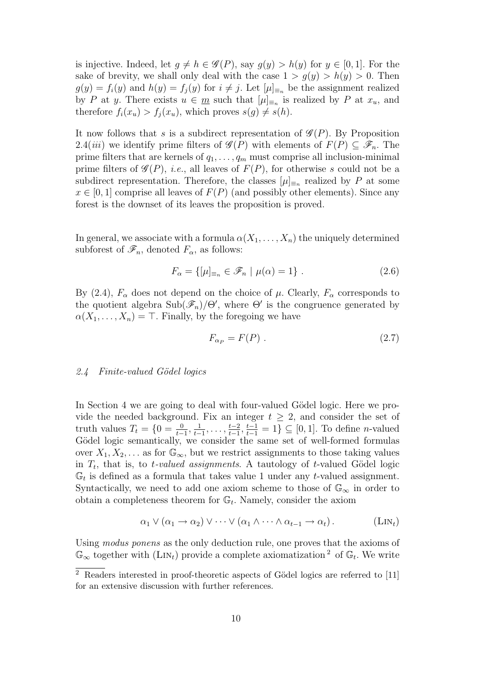is injective. Indeed, let  $g \neq h \in \mathscr{G}(P)$ , say  $g(y) > h(y)$  for  $y \in [0, 1]$ . For the sake of brevity, we shall only deal with the case  $1 > g(y) > h(y) > 0$ . Then  $g(y) = f_i(y)$  and  $h(y) = f_j(y)$  for  $i \neq j$ . Let  $[\mu]_{\equiv n}$  be the assignment realized by *P* at *y*. There exists  $u \in \underline{m}$  such that  $[\mu]_{\equiv_n}$  is realized by *P* at  $x_u$ , and therefore  $f_i(x_u) > f_i(x_u)$ , which proves  $s(g) \neq s(h)$ .

It now follows that *s* is a subdirect representation of *G* (*P*). By Proposition 2.4(*iii*) we identify prime filters of  $\mathcal{G}(P)$  with elements of  $F(P) \subseteq \mathcal{F}_n$ . The prime filters that are kernels of  $q_1, \ldots, q_m$  must comprise all inclusion-minimal prime filters of  $\mathcal{G}(P)$ , *i.e.*, all leaves of  $F(P)$ , for otherwise *s* could not be a subdirect representation. Therefore, the classes  $[\mu]_{\equiv_n}$  realized by *P* at some  $x \in [0, 1]$  comprise all leaves of  $F(P)$  (and possibly other elements). Since any forest is the downset of its leaves the proposition is proved.

In general, we associate with a formula  $\alpha(X_1, \ldots, X_n)$  the uniquely determined subforest of  $\mathscr{F}_n$ , denoted  $F_\alpha$ , as follows:

$$
F_{\alpha} = \{ [\mu]_{\equiv_n} \in \mathscr{F}_n \mid \mu(\alpha) = 1 \} . \tag{2.6}
$$

By (2.4),  $F_\alpha$  does not depend on the choice of  $\mu$ . Clearly,  $F_\alpha$  corresponds to the quotient algebra  $\text{Sub}(\mathscr{F}_n)/\Theta'$ , where  $\Theta'$  is the congruence generated by  $\alpha(X_1, \ldots, X_n) = \top$ . Finally, by the foregoing we have

$$
F_{\alpha_P} = F(P) \tag{2.7}
$$

# *2.4 Finite-valued G¨odel logics*

In Section 4 we are going to deal with four-valued Gödel logic. Here we provide the needed background. Fix an integer  $t \geq 2$ , and consider the set of truth values  $T_t = \{0 = \frac{0}{t-1}, \frac{1}{t-1}\}$  $\frac{1}{t-1}, \ldots, \frac{t-2}{t-1}$  $\frac{t-2}{t-1}, \frac{t-1}{t-1} = 1$  } ⊆ [0, 1]. To define *n*-valued Gödel logic semantically, we consider the same set of well-formed formulas over  $X_1, X_2, \ldots$  as for  $\mathbb{G}_{\infty}$ , but we restrict assignments to those taking values in  $T_t$ , that is, to *t*-valued assignments. A tautology of *t*-valued Gödel logic  $\mathbb{G}_t$  is defined as a formula that takes value 1 under any *t*-valued assignment. Syntactically, we need to add one axiom scheme to those of  $\mathbb{G}_{\infty}$  in order to obtain a completeness theorem for  $\mathbb{G}_t$ . Namely, consider the axiom

$$
\alpha_1 \vee (\alpha_1 \to \alpha_2) \vee \cdots \vee (\alpha_1 \wedge \cdots \wedge \alpha_{t-1} \to \alpha_t).
$$
 (LIN<sub>t</sub>)

Using *modus ponens* as the only deduction rule, one proves that the axioms of  $\mathbb{G}_{\infty}$  together with (LIN<sub>t</sub>) provide a complete axiomatization<sup>2</sup> of  $\mathbb{G}_{t}$ . We write

 $\overline{2}$  Readers interested in proof-theoretic aspects of Gödel logics are referred to [11] for an extensive discussion with further references.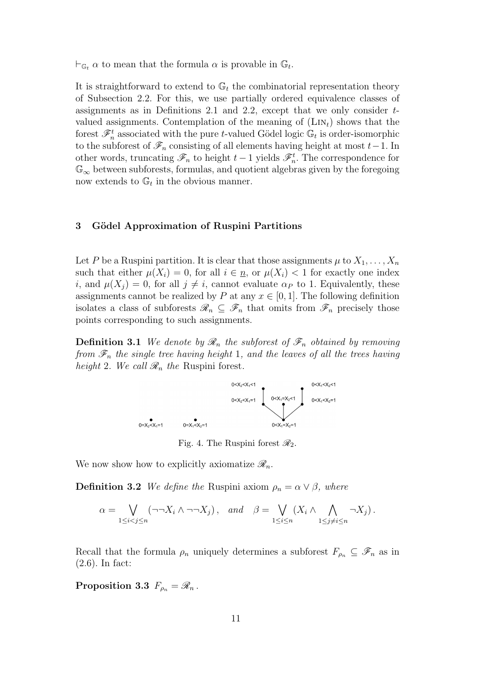$\vdash_{\mathbb{G}_t} \alpha$  to mean that the formula  $\alpha$  is provable in  $\mathbb{G}_t$ .

It is straightforward to extend to  $\mathbb{G}_t$  the combinatorial representation theory of Subsection 2.2. For this, we use partially ordered equivalence classes of assignments as in Definitions 2.1 and 2.2, except that we only consider *t*valued assignments. Contemplation of the meaning of  $(LIN_t)$  shows that the forest  $\mathscr{F}_n^t$  associated with the pure *t*-valued Gödel logic  $\mathbb{G}_t$  is order-isomorphic to the subforest of  $\mathscr{F}_n$  consisting of all elements having height at most  $t-1$ . In other words, truncating  $\mathscr{F}_n$  to height  $t-1$  yields  $\mathscr{F}_n^t$ . The correspondence for G*<sup>∞</sup>* between subforests, formulas, and quotient algebras given by the foregoing now extends to  $\mathbb{G}_t$  in the obvious manner.

## **3 G¨odel Approximation of Ruspini Partitions**

Let *P* be a Ruspini partition. It is clear that those assignments  $\mu$  to  $X_1, \ldots, X_n$ such that either  $\mu(X_i) = 0$ , for all  $i \in \underline{n}$ , or  $\mu(X_i) < 1$  for exactly one index *i*, and  $\mu(X_i) = 0$ , for all  $i \neq i$ , cannot evaluate  $\alpha_P$  to 1. Equivalently, these assignments cannot be realized by *P* at any  $x \in [0, 1]$ . The following definition isolates a class of subforests  $\mathscr{R}_n \subseteq \mathscr{F}_n$  that omits from  $\mathscr{F}_n$  precisely those points corresponding to such assignments.

**Definition 3.1** *We denote by*  $\mathcal{R}_n$  *the subforest of*  $\mathcal{F}_n$  *obtained by removing from F<sup>n</sup> the single tree having height* 1*, and the leaves of all the trees having height* 2*. We call*  $\mathcal{R}_n$  *the* Ruspini forest.



We now show how to explicitly axiomatize  $\mathcal{R}_n$ .

**Definition 3.2** *We define the* Ruspini axiom  $\rho_n = \alpha \vee \beta$ *, where* 

$$
\alpha = \bigvee_{1 \leq i < j \leq n} (\neg \neg X_i \land \neg \neg X_j), \quad \text{and} \quad \beta = \bigvee_{1 \leq i \leq n} (X_i \land \bigwedge_{1 \leq j \neq i \leq n} \neg X_j).
$$

Recall that the formula  $\rho_n$  uniquely determines a subforest  $F_{\rho_n} \subseteq \mathscr{F}_n$  as in (2.6). In fact:

**Proposition 3.3**  $F_{\rho_n} = \mathscr{R}_n$ .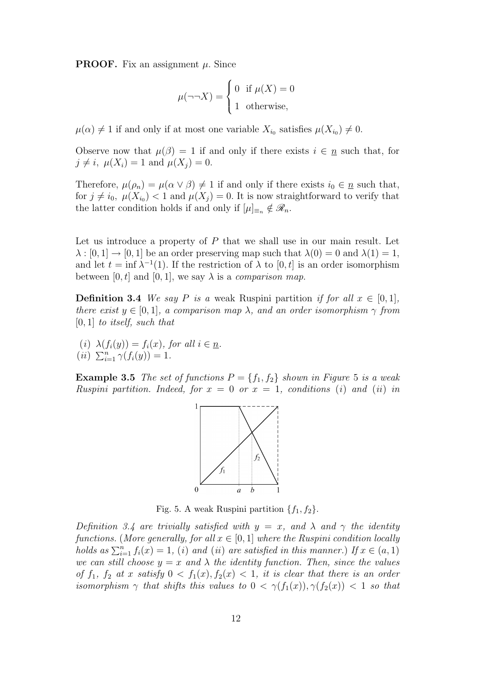**PROOF.** Fix an assignment  $\mu$ . Since

$$
\mu(\neg\neg X) = \begin{cases} 0 & \text{if } \mu(X) = 0 \\ 1 & \text{otherwise,} \end{cases}
$$

 $\mu(\alpha) \neq 1$  if and only if at most one variable  $X_{i_0}$  satisfies  $\mu(X_{i_0}) \neq 0$ .

Observe now that  $\mu(\beta) = 1$  if and only if there exists  $i \in n$  such that, for  $j \neq i$ ,  $\mu(X_i) = 1$  and  $\mu(X_i) = 0$ .

Therefore,  $\mu(\rho_n) = \mu(\alpha \vee \beta) \neq 1$  if and only if there exists  $i_0 \in \underline{n}$  such that, for  $j \neq i_0$ ,  $\mu(X_{i_0}) < 1$  and  $\mu(X_j) = 0$ . It is now straightforward to verify that the latter condition holds if and only if  $[\mu]_{\equiv_n} \notin \mathcal{R}_n$ .

Let us introduce a property of P that we shall use in our main result. Let  $\lambda : [0,1] \to [0,1]$  be an order preserving map such that  $\lambda(0) = 0$  and  $\lambda(1) = 1$ , and let  $t = \inf \lambda^{-1}(1)$ . If the restriction of  $\lambda$  to  $[0, t]$  is an order isomorphism between [0, t] and [0, 1], we say  $\lambda$  is a *comparison map*.

**Definition 3.4** *We say P is a* weak Ruspini partition *if for all*  $x \in [0,1]$ *, there exist*  $y \in [0, 1]$ *, a comparison map*  $\lambda$ *, and an order isomorphism*  $\gamma$  *from* [0*,* 1] *to itself, such that*

 $(i)$   $\lambda(f_i(y)) = f_i(x)$ , for all  $i \in \underline{n}$ .  $(iii)$   $\sum_{i=1}^{n} \gamma(f_i(y)) = 1.$ 

**Example 3.5** *The set of functions*  $P = \{f_1, f_2\}$  *shown in Figure* 5 *is a weak Ruspini partition. Indeed, for*  $x = 0$  *or*  $x = 1$ *, conditions* (*i*) *and* (*ii*) *in* 



Fig. 5. A weak Ruspini partition  ${f_1, f_2}$ .

*Definition 3.4 are trivially satisfied with*  $y = x$ , and  $\lambda$  and  $\gamma$  the identity *functions.* (*More generally, for all*  $x \in [0, 1]$  *where the Ruspini condition locally holds as*  $\sum_{i=1}^{n} f_i(x) = 1$ , (*i*) *and* (*ii*) *are satisfied in this manner.) If*  $x \in (a, 1)$ *we can still choose*  $y = x$  *and*  $\lambda$  *the identity function. Then, since the values of*  $f_1$ ,  $f_2$  *at x satisfy*  $0 < f_1(x)$ ,  $f_2(x) < 1$ , *it is clear that there is an order isomorphism*  $\gamma$  *that shifts this values to*  $0 < \gamma(f_1(x)), \gamma(f_2(x)) < 1$  *so that*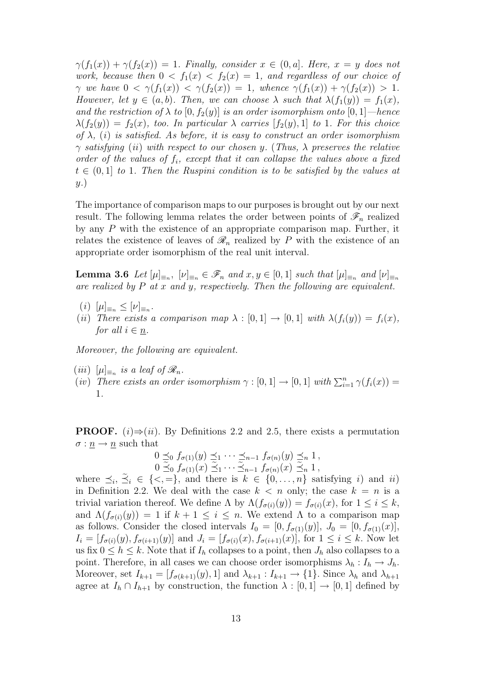$\gamma(f_1(x)) + \gamma(f_2(x)) = 1$ *. Finally, consider*  $x \in (0, a]$ *. Here,*  $x = y$  *does not work, because then*  $0 < f_1(x) < f_2(x) = 1$ *, and regardless of our choice of γ we have*  $0 < \gamma(f_1(x)) < \gamma(f_2(x)) = 1$ *, whence*  $\gamma(f_1(x)) + \gamma(f_2(x)) > 1$ *. However, let*  $y \in (a, b)$ *. Then, we can choose*  $\lambda$  *such that*  $\lambda(f_1(y)) = f_1(x)$ *, and the restriction of*  $\lambda$  *to*  $[0, f_2(y)]$  *is an order isomorphism onto*  $[0, 1]$ *—hence*  $\lambda(f_2(y)) = f_2(x)$ *, too. In particular*  $\lambda$  *carries*  $[f_2(y), 1]$  *to* 1*. For this choice of λ,* (*i*) *is satisfied. As before, it is easy to construct an order isomorphism γ satisfying* (*ii*) *with respect to our chosen y.* (*Thus, λ preserves the relative order of the values of fi, except that it can collapse the values above a fixed*  $t \in (0,1]$  *to* 1*. Then the Ruspini condition is to be satisfied by the values at y.*)

The importance of comparison maps to our purposes is brought out by our next result. The following lemma relates the order between points of  $\mathscr{F}_n$  realized by any *P* with the existence of an appropriate comparison map. Further, it relates the existence of leaves of  $\mathcal{R}_n$  realized by P with the existence of an appropriate order isomorphism of the real unit interval.

**Lemma 3.6** Let  $[\mu]_{\equiv_n}$ ,  $[\nu]_{\equiv_n} \in \mathscr{F}_n$  and  $x, y \in [0, 1]$  such that  $[\mu]_{\equiv_n}$  and  $[\nu]_{\equiv_n}$ *are realized by P at x and y, respectively. Then the following are equivalent.*

- $(\iota)$   $[\mu]_{\equiv_n} \leq [\nu]_{\equiv_n}$ .
- (*ii*) *There exists a comparison map*  $\lambda : [0,1] \rightarrow [0,1]$  *with*  $\lambda(f_i(y)) = f_i(x)$ , *for all*  $i \in \underline{n}$ *.*

*Moreover, the following are equivalent.*

- $(iii)$   $[\mu]_{\equiv n}$  *is a leaf of*  $\mathscr{R}_n$ *.*
- (*iv*) *There exists an order isomorphism*  $\gamma : [0, 1] \rightarrow [0, 1]$  *with*  $\sum_{i=1}^{n} \gamma(f_i(x)) =$ 1*.*

**PROOF.**  $(i) \Rightarrow (ii)$ . By Definitions 2.2 and 2.5, there exists a permutation  $\sigma: \underline{n} \to \underline{n}$  such that

$$
0 \leq_0 f_{\sigma(1)}(y) \leq_1 \cdots \leq_{n-1} f_{\sigma(n)}(y) \leq_n 1,
$$
  
\n
$$
0 \leq_0 f_{\sigma(1)}(x) \leq_1 \cdots \leq_{n-1} f_{\sigma(n)}(x) \leq_n 1,
$$

where  $\preceq_i, \preceq_i \in \{<,=\}$ , and there is  $k \in \{0, \ldots, n\}$  satisfying *i*) and *ii*) in Definition 2.2. We deal with the case  $k < n$  only; the case  $k = n$  is a trivial variation thereof. We define  $\Lambda$  by  $\Lambda(f_{\sigma(i)}(y)) = f_{\sigma(i)}(x)$ , for  $1 \leq i \leq k$ , and  $\Lambda(f_{\sigma(i)}(y)) = 1$  if  $k + 1 \leq i \leq n$ . We extend  $\Lambda$  to a comparison map as follows. Consider the closed intervals  $I_0 = [0, f_{\sigma(1)}(y)], J_0 = [0, f_{\sigma(1)}(x)],$  $I_i = [f_{\sigma(i)}(y), f_{\sigma(i+1)}(y)]$  and  $J_i = [f_{\sigma(i)}(x), f_{\sigma(i+1)}(x)]$ , for  $1 \leq i \leq k$ . Now let us fix  $0 \leq h \leq k$ . Note that if  $I_h$  collapses to a point, then  $J_h$  also collapses to a point. Therefore, in all cases we can choose order isomorphisms  $\lambda_h: I_h \to J_h$ . Moreover, set  $I_{k+1} = [f_{\sigma(k+1)}(y), 1]$  and  $\lambda_{k+1} : I_{k+1} \to \{1\}$ . Since  $\lambda_h$  and  $\lambda_{h+1}$ agree at  $I_h \cap I_{h+1}$  by construction, the function  $\lambda : [0,1] \to [0,1]$  defined by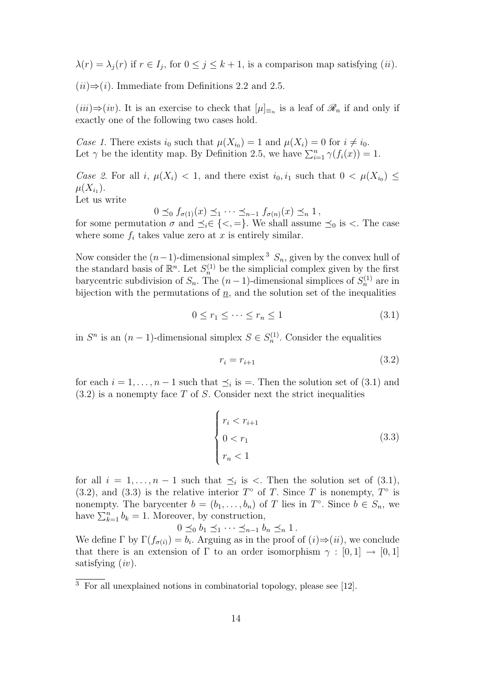$\lambda(r) = \lambda_j(r)$  if  $r \in I_j$ , for  $0 \leq j \leq k+1$ , is a comparison map satisfying (*ii*).

 $(iii) \Rightarrow (i)$ . Immediate from Definitions 2.2 and 2.5.

 $(iii)$ ⇒ $(iv)$ . It is an exercise to check that  $[\mu]_{\equiv n}$  is a leaf of  $\mathcal{R}_n$  if and only if exactly one of the following two cases hold.

*Case 1*. There exists  $i_0$  such that  $\mu(X_{i_0}) = 1$  and  $\mu(X_i) = 0$  for  $i \neq i_0$ . Let  $\gamma$  be the identity map. By Definition 2.5, we have  $\sum_{i=1}^{n} \gamma(f_i(x)) = 1$ .

*Case 2.* For all *i*,  $\mu(X_i) < 1$ , and there exist  $i_0, i_1$  such that  $0 < \mu(X_{i_0}) \le$  $\mu(X_{i_1}).$ 

Let us write

 $0 \leq_0 f_{\sigma(1)}(x) \leq_1 \cdots \leq_{n-1} f_{\sigma(n)}(x) \leq_n 1$ 

for some permutation  $\sigma$  and  $\preceq_i \in \{<,=\}$ . We shall assume  $\preceq_0$  is  $\lt$ . The case where some  $f_i$  takes value zero at  $x$  is entirely similar.

Now consider the  $(n-1)$ -dimensional simplex<sup>3</sup>  $S_n$ , given by the convex hull of the standard basis of  $\mathbb{R}^n$ . Let  $S_n^{(1)}$  be the simplicial complex given by the first barycentric subdivision of  $S_n$ . The  $(n-1)$ -dimensional simplices of  $S_n^{(1)}$  are in bijection with the permutations of  $n$ , and the solution set of the inequalities

$$
0 \le r_1 \le \dots \le r_n \le 1 \tag{3.1}
$$

in  $S<sup>n</sup>$  is an  $(n-1)$ -dimensional simplex  $S \in S<sub>n</sub><sup>(1)</sup>$ . Consider the equalities

$$
r_i = r_{i+1} \tag{3.2}
$$

for each  $i = 1, \ldots, n-1$  such that  $\preceq_i$  is =. Then the solution set of (3.1) and (3.2) is a nonempty face *T* of *S*. Consider next the strict inequalities

$$
\begin{cases}\nr_i < r_{i+1} \\
0 < r_1 \\
r_n < 1\n\end{cases} \tag{3.3}
$$

for all  $i = 1, \ldots, n-1$  such that  $\preceq_i$  is  $\lt$ . Then the solution set of  $(3.1)$ , (3.2), and (3.3) is the relative interior  $T^{\circ}$  of  $T$ . Since  $T$  is nonempty,  $T^{\circ}$  is nonempty. The barycenter  $b = (b_1, \ldots, b_n)$  of *T* lies in  $T^\circ$ . Since  $b \in S_n$ , we have  $\sum_{k=1}^{n} b_k = 1$ . Moreover, by construction,

 $0 \leq_0 b_1 \leq_1 \cdots \leq_{n-1} b_n \leq_n 1$ . We define  $\Gamma$  by  $\Gamma(f_{\sigma(i)}) = b_i$ . Arguing as in the proof of  $(i) \Rightarrow (ii)$ , we conclude that there is an extension of  $\Gamma$  to an order isomorphism  $\gamma : [0,1] \rightarrow [0,1]$ satisfying (*iv*).

<sup>3</sup> For all unexplained notions in combinatorial topology, please see [12].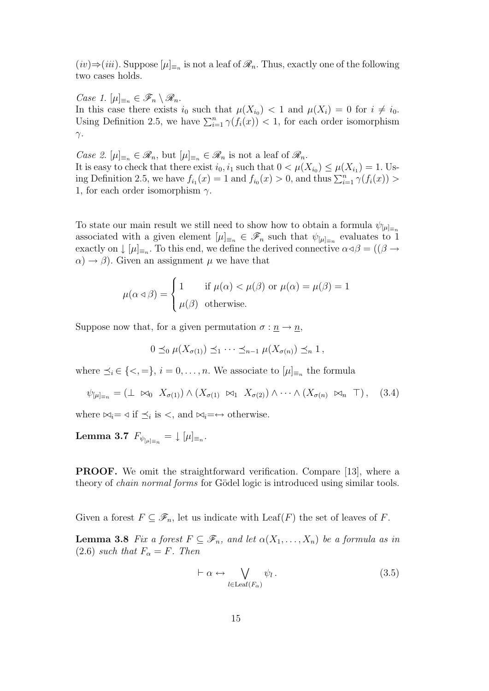$(iv)$ ⇒ $(iii)$ . Suppose  $[\mu]_{\equiv_n}$  is not a leaf of  $\mathcal{R}_n$ . Thus, exactly one of the following two cases holds.

*Case 1.*  $[\mu]_{\equiv n}$  ∈  $\mathscr{F}_n \setminus \mathscr{R}_n$ . In this case there exists  $i_0$  such that  $\mu(X_{i_0}) < 1$  and  $\mu(X_i) = 0$  for  $i \neq i_0$ . Using Definition 2.5, we have  $\sum_{i=1}^{n} \gamma(f_i(x)) < 1$ , for each order isomorphism *γ*.

*Case 2.*  $[\mu]_{\equiv_n} \in \mathscr{R}_n$ , but  $[\mu]_{\equiv_n} \in \mathscr{R}_n$  is not a leaf of  $\mathscr{R}_n$ . It is easy to check that there exist  $i_0, i_1$  such that  $0 < \mu(X_{i_0}) \le \mu(X_{i_1}) = 1$ . Using Definition 2.5, we have  $f_{i_1}(x) = 1$  and  $f_{i_0}(x) > 0$ , and thus  $\sum_{i=1}^{n} \gamma(f_i(x)) > 0$ 1, for each order isomorphism *γ*.

To state our main result we still need to show how to obtain a formula  $\psi_{\mu}$ <sup>*j*</sup><sup>*=n*</sub></sup> associated with a given element  $[\mu]_{\equiv_n} \in \mathscr{F}_n$  such that  $\psi_{[\mu]_{\equiv_n}}$  evaluates to 1 exactly on  $\downarrow$   $[\mu]_{\equiv_n}$ . To this end, we define the derived connective  $\alpha \triangleleft \beta = ((\beta \rightarrow$  $\alpha$ )  $\rightarrow \beta$ ). Given an assignment  $\mu$  we have that

$$
\mu(\alpha \triangleleft \beta) = \begin{cases} 1 & \text{if } \mu(\alpha) < \mu(\beta) \text{ or } \mu(\alpha) = \mu(\beta) = 1 \\ \mu(\beta) & \text{otherwise.} \end{cases}
$$

Suppose now that, for a given permutation  $\sigma : \underline{n} \to \underline{n}$ ,

$$
0 \preceq_0 \mu(X_{\sigma(1)}) \preceq_1 \cdots \preceq_{n-1} \mu(X_{\sigma(n)}) \preceq_n 1,
$$

where  $\leq_i \in \{<,\ =\}, i = 0, \ldots, n$ . We associate to  $[\mu]_{\equiv_n}$  the formula

$$
\psi_{\lbrack\mu\rbrack_{\equiv_n}} = (\perp \bowtie_0 X_{\sigma(1)}) \wedge (X_{\sigma(1)} \bowtie_1 X_{\sigma(2)}) \wedge \cdots \wedge (X_{\sigma(n)} \bowtie_n T), \quad (3.4)
$$

where  $\bowtie_i = \triangleleft$  if  $\preceq_i$  is  $\lt$ , and  $\bowtie_i = \leftrightarrow$  otherwise.

 ${\bf Lemma 3.7} \ \ F_{\psi_{[\mu]_{\equiv n}}} = \downarrow [\mu]_{\equiv_n}.$ 

**PROOF.** We omit the straightforward verification. Compare [13], where a theory of *chain normal forms* for Gödel logic is introduced using similar tools.

Given a forest  $F \subseteq \mathscr{F}_n$ , let us indicate with Leaf(*F*) the set of leaves of *F*.

**Lemma 3.8** *Fix a forest*  $F \subseteq \mathscr{F}_n$ *, and let*  $\alpha(X_1, \ldots, X_n)$  *be a formula as in* (2.6) *such that*  $F_{\alpha} = F$ *. Then* 

$$
\vdash \alpha \leftrightarrow \bigvee_{l \in \text{Leaf}(F_{\alpha})} \psi_l. \tag{3.5}
$$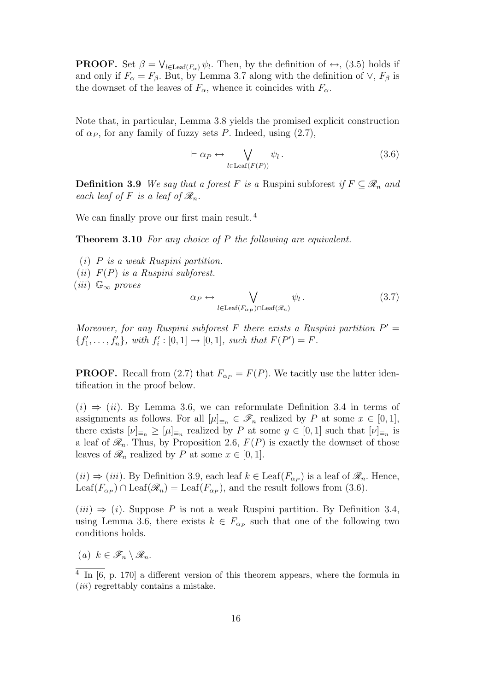**PROOF.** Set  $\beta = \bigvee_{l \in \text{Leaf}(F_{\alpha})} \psi_l$ . Then, by the definition of  $\leftrightarrow$ , (3.5) holds if and only if  $F_\alpha = F_\beta$ . But, by Lemma 3.7 along with the definition of  $\vee$ ,  $F_\beta$  is the downset of the leaves of  $F_\alpha$ , whence it coincides with  $F_\alpha$ .

Note that, in particular, Lemma 3.8 yields the promised explicit construction of  $\alpha_P$ , for any family of fuzzy sets *P*. Indeed, using  $(2.7)$ ,

$$
\vdash \alpha_P \leftrightarrow \bigvee_{l \in \text{Leaf}(F(P))} \psi_l \,. \tag{3.6}
$$

**Definition 3.9** *We say that a forest F is a* Ruspini subforest *if*  $F \subseteq \mathcal{R}_n$  *and each leaf of*  $F$  *is a leaf of*  $\mathcal{R}_n$ *.* 

We can finally prove our first main result.<sup>4</sup>

**Theorem 3.10** *For any choice of P the following are equivalent.*

(*i*) *P is a weak Ruspini partition.* (*ii*) *F*(*P*) *is a Ruspini subforest.* (*iii*) G*<sup>∞</sup> proves <i>* $\theta$  *<i>m*  $\theta$  *m*  $\theta$  *m*  $\theta$  *m*  $\theta$  *m*  $\theta$  *m*  $\theta$  *m*  $\theta$  *m*  $\theta$  *m*  $\theta$  *m*  $\theta$  *m*  $\theta$  *m*  $\theta$  *m*  $\theta$  *m*  $\theta$  *m*  $\theta$  *m*  $\theta$  *m*  $\theta$  *m*  $\theta$  *m*  $\theta$  *m*  $\theta$  *m*  $\theta$  *m*  $\theta$  *m*  $\$ 

$$
\psi_P \leftrightarrow \bigvee_{l \in \text{Leaf}(F_{\alpha_P}) \cap \text{Leaf}(\mathscr{R}_n)} \psi_l . \tag{3.7}
$$

*Moreover, for any Ruspini subforest F* there exists a Ruspini partition  $P' =$  ${f'_1, \ldots, f'_n}$ , with  $f'_i : [0, 1] \to [0, 1]$ , such that  $F(P') = F$ .

**PROOF.** Recall from (2.7) that  $F_{\alpha} = F(P)$ . We tacitly use the latter identification in the proof below.

 $(i) \Rightarrow (ii)$ . By Lemma 3.6, we can reformulate Definition 3.4 in terms of assignments as follows. For all  $[\mu]_{\equiv n} \in \mathscr{F}_n$  realized by *P* at some  $x \in [0,1]$ , there exists  $[\nu]_{\equiv_n} \geq [\mu]_{\equiv_n}$  realized by *P* at some  $y \in [0,1]$  such that  $[\nu]_{\equiv_n}$  is a leaf of  $\mathcal{R}_n$ . Thus, by Proposition 2.6,  $F(P)$  is exactly the downset of those leaves of  $\mathcal{R}_n$  realized by *P* at some  $x \in [0, 1]$ .

 $(ii) \Rightarrow (iii)$ . By Definition 3.9, each leaf  $k \in \text{Leaf}(F_{\alpha_P})$  is a leaf of  $\mathcal{R}_n$ . Hence, Leaf( $F_{\alpha_P}$ )  $\cap$  Leaf( $\mathscr{R}_n$ ) = Leaf( $F_{\alpha_P}$ ), and the result follows from (3.6).

 $(iii) \Rightarrow (i)$ . Suppose P is not a weak Ruspini partition. By Definition 3.4, using Lemma 3.6, there exists  $k \in F_{\alpha_P}$  such that one of the following two conditions holds.

 $(a)$   $k \in \mathscr{F}_n \setminus \mathscr{R}_n$ .

<sup>&</sup>lt;sup>4</sup> In [6, p. 170] a different version of this theorem appears, where the formula in (*iii*) regrettably contains a mistake.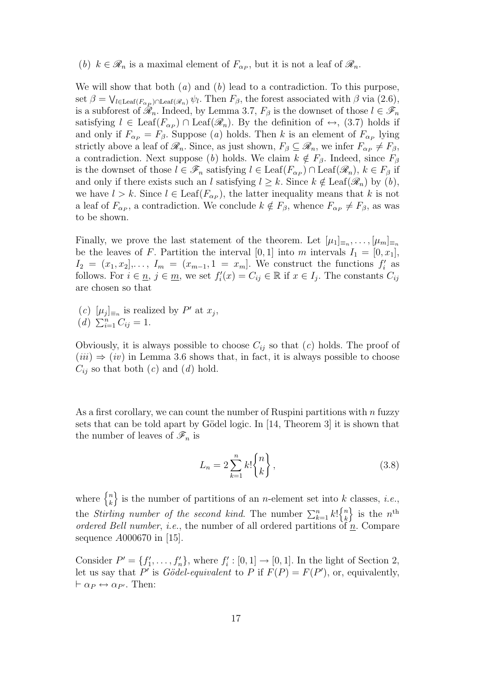(*b*)  $k \in \mathcal{R}_n$  is a maximal element of  $F_{\alpha_P}$ , but it is not a leaf of  $\mathcal{R}_n$ .

We will show that both (*a*) and (*b*) lead to a contradiction. To this purpose, set  $\beta = \bigvee_{l \in \text{Leaf}(F_{\alpha_{p}}) \cap \text{Leaf}(\mathcal{R}_{n})} \psi_{l}$ . Then  $F_{\beta}$ , the forest associated with  $\beta$  via (2.6), is a subforest of  $\mathscr{R}_n$ . Indeed, by Lemma 3.7,  $F_\beta$  is the downset of those  $l \in \mathscr{F}_n$ satisfying  $l \in \text{Leaf}(F_{\alpha_P}) \cap \text{Leaf}(\mathcal{R}_n)$ . By the definition of  $\leftrightarrow$ , (3.7) holds if and only if  $F_{\alpha_P} = F_{\beta}$ . Suppose (*a*) holds. Then *k* is an element of  $F_{\alpha_P}$  lying strictly above a leaf of  $\mathscr{R}_n$ . Since, as just shown,  $F_\beta \subseteq \mathscr{R}_n$ , we infer  $F_{\alpha_P} \neq F_\beta$ , a contradiction. Next suppose (*b*) holds. We claim  $k \notin F_\beta$ . Indeed, since  $F_\beta$ is the downset of those  $l \in \mathscr{F}_n$  satisfying  $l \in \text{Leaf}(F_{\alpha_P}) \cap \text{Leaf}(\mathscr{R}_n)$ ,  $k \in F_\beta$  if and only if there exists such an *l* satisfying  $l \geq k$ . Since  $k \notin \text{Leaf}(\mathcal{R}_n)$  by  $(b)$ , we have  $l > k$ . Since  $l \in \text{Leaf}(F_{\alpha_P})$ , the latter inequality means that k is not a leaf of  $F_{\alpha_P}$ , a contradiction. We conclude  $k \notin F_\beta$ , whence  $F_{\alpha_P} \neq F_\beta$ , as was to be shown.

Finally, we prove the last statement of the theorem. Let  $[\mu_1]_{\equiv n}, \ldots, [\mu_m]_{\equiv n}$ be the leaves of *F*. Partition the interval [0, 1] into *m* intervals  $I_1 = [0, x_1]$ ,  $I_2 = (x_1, x_2], \ldots, I_m = (x_{m-1}, 1 = x_m].$  We construct the functions  $f'_i$  as follows. For  $i \in \underline{n}$ ,  $j \in \underline{m}$ , we set  $f_i'(x) = C_{ij} \in \mathbb{R}$  if  $x \in I_j$ . The constants  $C_{ij}$ are chosen so that

 $(c)$   $[\mu_j]_{\equiv_n}$  is realized by  $P'$  at  $x_j$ ,  $(d) \sum_{i=1}^{n} C_{ij} = 1.$ 

Obviously, it is always possible to choose  $C_{ij}$  so that  $(c)$  holds. The proof of  $(iii) \Rightarrow (iv)$  in Lemma 3.6 shows that, in fact, it is always possible to choose  $C_{ij}$  so that both  $(c)$  and  $(d)$  hold.

As a first corollary, we can count the number of Ruspini partitions with *n* fuzzy sets that can be told apart by Gödel logic. In [14, Theorem 3] it is shown that the number of leaves of  $\mathscr{F}_n$  is

$$
L_n = 2 \sum_{k=1}^n k! \binom{n}{k},\tag{3.8}
$$

where  $\begin{cases} n \\ k \end{cases}$ *k*  $\}$  is the number of partitions of an *n*-element set into *k* classes, *i.e.*, the *Stirling number of the second kind*. The number  $\sum_{k=1}^{n} k! \begin{cases} n \\ k \end{cases}$ *k*  $\}$  is the  $n^{\text{th}}$ *ordered Bell number*, *i.e.*, the number of all ordered partitions of  $n$ . Compare sequence *A*000670 in [15].

Consider  $P' = \{f'_1, \ldots, f'_n\}$ , where  $f'_i : [0, 1] \rightarrow [0, 1]$ . In the light of Section 2, let us say that P' is *Gödel-equivalent* to P if  $F(P) = F(P')$ , or, equivalently,  $\vdash \alpha_P \leftrightarrow \alpha_{P'}$ . Then: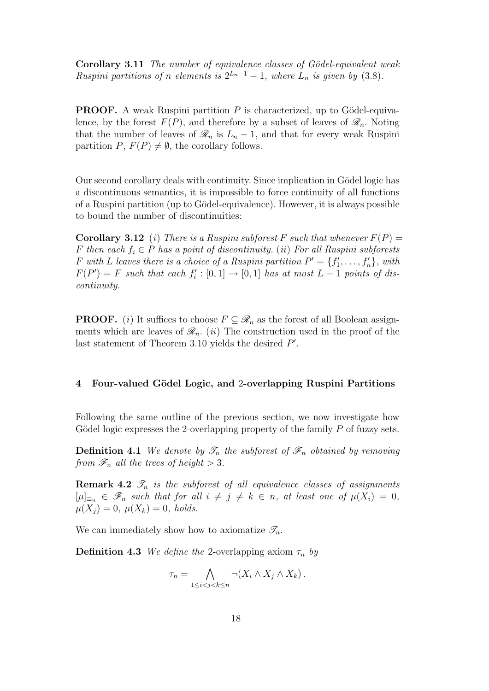**Corollary 3.11** *The number of equivalence classes of G¨odel-equivalent weak Ruspini partitions of <i>n elements is*  $2^{L_n-1} - 1$ *, where*  $L_n$  *is given by* (3.8)*.* 

**PROOF.** A weak Ruspini partition  $P$  is characterized, up to Gödel-equivalence, by the forest  $F(P)$ , and therefore by a subset of leaves of  $\mathscr{R}_n$ . Noting that the number of leaves of  $\mathcal{R}_n$  is  $L_n - 1$ , and that for every weak Ruspini partition *P*,  $F(P) \neq \emptyset$ , the corollary follows.

Our second corollary deals with continuity. Since implication in Gödel logic has a discontinuous semantics, it is impossible to force continuity of all functions of a Ruspini partition (up to Gödel-equivalence). However, it is always possible to bound the number of discontinuities:

**Corollary 3.12** (*i*) There is a Ruspini subforest F such that whenever  $F(P)$  = *F* then each  $f_i \in P$  has a point of discontinuity. (*ii*) *For all Ruspini subforests F* with *L* leaves there is a choice of a Ruspini partition  $P' = \{f'_1, \ldots, f'_n\}$ , with  $F(P') = F$  *such that each*  $f'_i : [0,1] \rightarrow [0,1]$  *has at most*  $L-1$  *points of discontinuity.*

**PROOF.** (*i*) It suffices to choose  $F \subseteq \mathcal{R}_n$  as the forest of all Boolean assignments which are leaves of  $\mathcal{R}_n$ . *(ii)* The construction used in the proof of the last statement of Theorem 3.10 yields the desired  $P'$ .

## **4 Four-valued G¨odel Logic, and** 2**-overlapping Ruspini Partitions**

Following the same outline of the previous section, we now investigate how Gödel logic expresses the 2-overlapping property of the family *P* of fuzzy sets.

**Definition 4.1** *We denote by*  $\mathscr{T}_n$  *the subforest of*  $\mathscr{F}_n$  *obtained by removing from*  $\mathscr{F}_n$  *all the trees of height*  $> 3$ *.* 

**Remark 4.2**  $\mathscr{T}_n$  *is the subforest of all equivalence classes of assignments*  $[\mu]_{\equiv_n} \in \mathscr{F}_n$  such that for all  $i \neq j \neq k \in n$ , at least one of  $\mu(X_i) = 0$ ,  $\mu(X_i) = 0, \ \mu(X_k) = 0, \ holds.$ 

We can immediately show how to axiomatize  $\mathscr{T}_n$ .

**Definition 4.3** *We define the* 2-overlapping axiom  $\tau_n$  *by* 

$$
\tau_n = \bigwedge_{1 \leq i < j < k \leq n} \neg (X_i \land X_j \land X_k) \, .
$$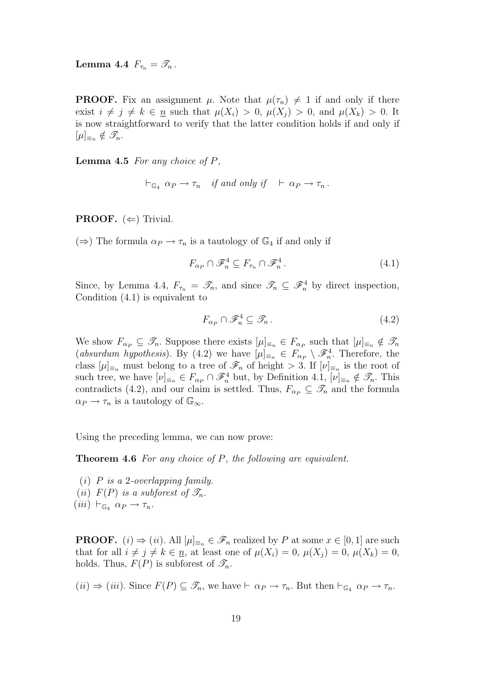**Lemma 4.4**  $F_{\tau_n} = \mathscr{T}_n$ .

**PROOF.** Fix an assignment  $\mu$ . Note that  $\mu(\tau_n) \neq 1$  if and only if there exist  $i \neq j \neq k \in n$  such that  $\mu(X_i) > 0$ ,  $\mu(X_i) > 0$ , and  $\mu(X_k) > 0$ . It is now straightforward to verify that the latter condition holds if and only if  $[\mu]_{\equiv_n} \notin \mathscr{T}_n$ .

**Lemma 4.5** *For any choice of P,*

$$
\vdash_{\mathbb{G}_4} \alpha_P \to \tau_n \quad \text{if and only if} \quad \vdash \alpha_P \to \tau_n \, .
$$

**PROOF.**  $(\Leftarrow)$  Trivial.

 $(\Rightarrow)$  The formula  $\alpha_P \to \tau_n$  is a tautology of  $\mathbb{G}_4$  if and only if

$$
F_{\alpha_P} \cap \mathscr{F}_n^4 \subseteq F_{\tau_n} \cap \mathscr{F}_n^4. \tag{4.1}
$$

Since, by Lemma 4.4,  $F_{\tau_n} = \mathcal{T}_n$ , and since  $\mathcal{T}_n \subseteq \mathcal{F}_n^4$  by direct inspection, Condition (4.1) is equivalent to

$$
F_{\alpha_P} \cap \mathscr{F}_n^4 \subseteq \mathscr{T}_n. \tag{4.2}
$$

We show  $F_{\alpha_P} \subseteq \mathscr{T}_n$ . Suppose there exists  $[\mu]_{\equiv_n} \in F_{\alpha_P}$  such that  $[\mu]_{\equiv_n} \notin \mathscr{T}_n$ (*absurdum hypothesis*). By (4.2) we have  $[\mu]_{\equiv_n} \in F_{\alpha_P} \setminus \mathscr{F}_n^4$ . Therefore, the class  $[\mu]_{\equiv_n}$  must belong to a tree of  $\mathscr{F}_n$  of height  $> 3$ . If  $[\nu]_{\equiv_n}$  is the root of such tree, we have  $[\nu]_{\equiv_n} \in F_{\alpha_P} \cap \mathscr{F}_n^4$  but, by Definition 4.1,  $[\nu]_{\equiv_n} \notin \mathscr{T}_n$ . This contradicts (4.2), and our claim is settled. Thus,  $F_{\alpha P} \subseteq \mathscr{T}_n$  and the formula  $\alpha_P \to \tau_n$  is a tautology of  $\mathbb{G}_{\infty}$ .

Using the preceding lemma, we can now prove:

**Theorem 4.6** *For any choice of P, the following are equivalent.*

(*i*) *P is a* 2*-overlapping family.* (*ii*)  $F(P)$  *is a subforest of*  $\mathscr{T}_n$ *.*  $(iii) \vdash_{\mathbb{G}_4} \alpha_P \rightarrow \tau_n.$ 

**PROOF.** (*i*)  $\Rightarrow$  (*ii*). All  $[\mu]_{\equiv n} \in \mathscr{F}_n$  realized by *P* at some  $x \in [0, 1]$  are such that for all  $i \neq j \neq k \in \underline{n}$ , at least one of  $\mu(X_i) = 0$ ,  $\mu(X_j) = 0$ ,  $\mu(X_k) = 0$ , holds. Thus,  $F(P)$  is subforest of  $\mathscr{T}_n$ .

 $(iii) \Rightarrow (iii)$ . Since  $F(P) \subseteq \mathcal{T}_n$ , we have  $\vdash \alpha_P \to \tau_n$ . But then  $\vdash_{\mathbb{G}_4} \alpha_P \to \tau_n$ .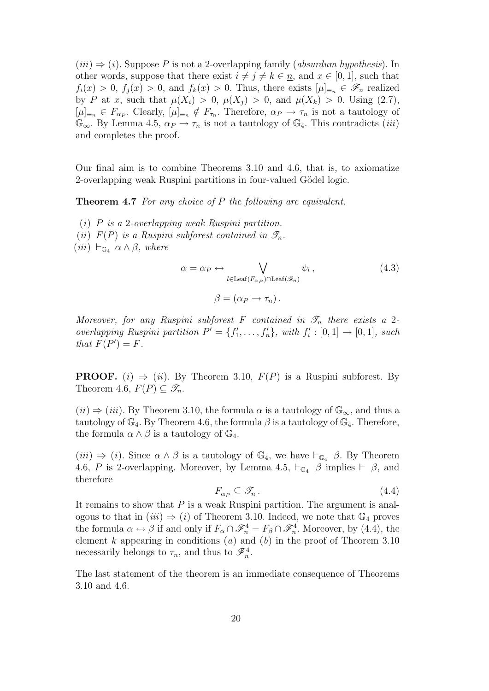$(iii) \Rightarrow (i)$ . Suppose P is not a 2-overlapping family (*absurdum hypothesis*). In other words, suppose that there exist  $i \neq j \neq k \in \underline{n}$ , and  $x \in [0,1]$ , such that  $f_i(x) > 0$ ,  $f_i(x) > 0$ , and  $f_k(x) > 0$ . Thus, there exists  $|\mu|_{\equiv n} \in \mathscr{F}_n$  realized by *P* at *x*, such that  $\mu(X_i) > 0$ ,  $\mu(X_j) > 0$ , and  $\mu(X_k) > 0$ . Using (2.7),  $[\mu]_{\equiv_n} \in F_{\alpha_P}$ . Clearly,  $[\mu]_{\equiv_n} \notin F_{\tau_n}$ . Therefore,  $\alpha_P \to \tau_n$  is not a tautology of  $\mathbb{G}_{\infty}$ . By Lemma 4.5,  $\alpha_P \to \tau_n$  is not a tautology of  $\mathbb{G}_4$ . This contradicts *(iii)* and completes the proof.

Our final aim is to combine Theorems 3.10 and 4.6, that is, to axiomatize 2-overlapping weak Ruspini partitions in four-valued Gödel logic.

**Theorem 4.7** *For any choice of P the following are equivalent.*

(*i*) *P is a* 2*-overlapping weak Ruspini partition.*

(*ii*)  $F(P)$  *is a Ruspini subforest contained in*  $\mathscr{T}_n$ *.* 

 $(iii) \vdash_{\mathbb{G}_4} \alpha \wedge \beta$ , where

$$
\alpha = \alpha_P \leftrightarrow \bigvee_{l \in \text{Leaf}(F_{\alpha_P}) \cap \text{Leaf}(\mathscr{R}_n)} \psi_l , \qquad (4.3)
$$

$$
\beta = (\alpha_P \to \tau_n).
$$

*Moreover, for any Ruspini subforest*  $F$  *contained in*  $\mathscr{T}_n$  *there exists a* 2*overlapping Ruspini partition*  $P' = \{f'_1, \ldots, f'_n\}$ , with  $f'_i : [0,1] \rightarrow [0,1]$ , such *that*  $F(P') = F$ *.* 

**PROOF.** (*i*)  $\Rightarrow$  (*ii*). By Theorem 3.10,  $F(P)$  is a Ruspini subforest. By Theorem 4.6,  $F(P) \subseteq \mathscr{T}_n$ .

 $(iii) \Rightarrow (iii)$ . By Theorem 3.10, the formula  $\alpha$  is a tautology of  $\mathbb{G}_{\infty}$ , and thus a tautology of  $\mathbb{G}_4$ . By Theorem 4.6, the formula  $\beta$  is a tautology of  $\mathbb{G}_4$ . Therefore, the formula  $\alpha \wedge \beta$  is a tautology of  $\mathbb{G}_4$ .

 $(iii) \Rightarrow (i)$ . Since  $\alpha \wedge \beta$  is a tautology of  $\mathbb{G}_4$ , we have  $\vdash_{\mathbb{G}_4} \beta$ . By Theorem 4.6, *P* is 2-overlapping. Moreover, by Lemma 4.5,  $\vdash_{\mathbb{G}_4} \beta$  implies  $\vdash \beta$ , and therefore

$$
F_{\alpha P} \subseteq \mathcal{F}_n. \tag{4.4}
$$

It remains to show that *P* is a weak Ruspini partition. The argument is analogous to that in  $(iii) \Rightarrow (i)$  of Theorem 3.10. Indeed, we note that  $\mathbb{G}_4$  proves the formula  $\alpha \leftrightarrow \beta$  if and only if  $F_{\alpha} \cap \mathscr{F}_{n}^{4} = F_{\beta} \cap \mathscr{F}_{n}^{4}$ . Moreover, by (4.4), the element *k* appearing in conditions (*a*) and (*b*) in the proof of Theorem 3.10 necessarily belongs to  $\tau_n$ , and thus to  $\mathscr{F}_n^4$ .

The last statement of the theorem is an immediate consequence of Theorems 3.10 and 4.6.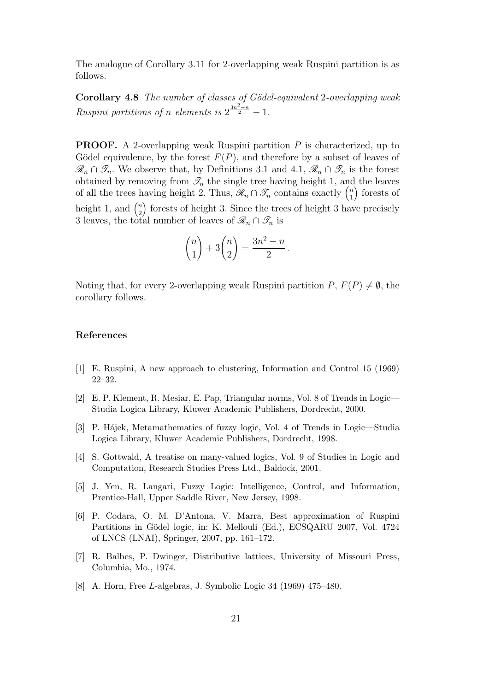The analogue of Corollary 3.11 for 2-overlapping weak Ruspini partition is as follows.

**Corollary 4.8** *The number of classes of G¨odel-equivalent* 2*-overlapping weak Ruspini partitions of <i>n elements is*  $2^{\frac{3n^2-n}{2}}-1$ .

**PROOF.** A 2-overlapping weak Ruspini partition *P* is characterized, up to Gödel equivalence, by the forest  $F(P)$ , and therefore by a subset of leaves of  $\mathscr{R}_n$  ∩  $\mathscr{T}_n$ . We observe that, by Definitions 3.1 and 4.1,  $\mathscr{R}_n$  ∩  $\mathscr{T}_n$  is the forest obtained by removing from  $\mathcal{T}_n$  the single tree having height 1, and the leaves of all the trees having height 2. Thus,  $\mathscr{R}_n \cap \mathscr{T}_n$  contains exactly  $\binom{n}{1}$ 1 ) forests of height 1, and  $\binom{n}{2}$ 2 ) forests of height 3. Since the trees of height 3 have precisely 3 leaves, the total number of leaves of  $\mathcal{R}_n \cap \mathcal{T}_n$  is

$$
\binom{n}{1} + 3\binom{n}{2} = \frac{3n^2 - n}{2}.
$$

Noting that, for every 2-overlapping weak Ruspini partition  $P, F(P) \neq \emptyset$ , the corollary follows.

## **References**

- [1] E. Ruspini, A new approach to clustering, Information and Control 15 (1969) 22–32.
- [2] E. P. Klement, R. Mesiar, E. Pap, Triangular norms, Vol. 8 of Trends in Logic— Studia Logica Library, Kluwer Academic Publishers, Dordrecht, 2000.
- [3] P. Hájek, Metamathematics of fuzzy logic, Vol. 4 of Trends in Logic—Studia Logica Library, Kluwer Academic Publishers, Dordrecht, 1998.
- [4] S. Gottwald, A treatise on many-valued logics, Vol. 9 of Studies in Logic and Computation, Research Studies Press Ltd., Baldock, 2001.
- [5] J. Yen, R. Langari, Fuzzy Logic: Intelligence, Control, and Information, Prentice-Hall, Upper Saddle River, New Jersey, 1998.
- [6] P. Codara, O. M. D'Antona, V. Marra, Best approximation of Ruspini Partitions in Gödel logic, in: K. Mellouli (Ed.), ECSQARU 2007, Vol. 4724 of LNCS (LNAI), Springer, 2007, pp. 161–172.
- [7] R. Balbes, P. Dwinger, Distributive lattices, University of Missouri Press, Columbia, Mo., 1974.
- [8] A. Horn, Free *L*-algebras, J. Symbolic Logic 34 (1969) 475–480.